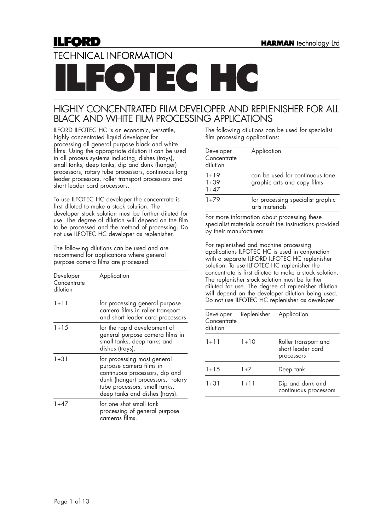# **ILFORD**

# TECHNICAL INFORMATION

**ECHC** 

# HIGHLY CONCENTRATED FILM DEVELOPER AND REPLENISHER FOR ALL BLACK AND WHITE FILM PROCESSING APPLICATIONS

ILFORD ILFOTEC HC is an economic, versatile, highly concentrated liquid developer for processing all general purpose black and white films. Using the appropriate dilution it can be used in all process systems including, dishes (trays), small tanks, deep tanks, dip and dunk (hanger) processors, rotary tube processors, continuous long leader processors, roller transport processors and short leader card processors.

To use ILFOTEC HC developer the concentrate is first diluted to make a stock solution. The developer stock solution must be further diluted for use. The degree of dilution will depend on the film to be processed and the method of processing. Do not use ILFOTEC HC developer as replenisher.

The following dilutions can be used and are recommend for applications where general purpose camera films are processed:

| Developer<br>Concentrate<br>dilution | Application                                                                                                                                                                                     |
|--------------------------------------|-------------------------------------------------------------------------------------------------------------------------------------------------------------------------------------------------|
| $1 + 11$                             | for processing general purpose<br>camera films in roller transport<br>and short leader card processors                                                                                          |
| $1 + 15$                             | for the rapid development of<br>general purpose camera films in<br>small tanks, deep tanks and<br>dishes (trays).                                                                               |
| $1 + 31$                             | for processing most general<br>purpose camera films in<br>continuous processors, dip and<br>dunk (hanger) processors, rotary<br>tube processors, small tanks,<br>deep tanks and dishes (trays). |
| $1+47$                               | for one shot small tank<br>processing of general purpose<br>cameras films.                                                                                                                      |

The following dilutions can be used for specialist film processing applications:

| Developer<br>Concentrate<br>dilution | Application                                                    |
|--------------------------------------|----------------------------------------------------------------|
| $1 + 19$<br>$1 + 39$<br>1+47         | can be used for continuous tone<br>graphic arts and copy films |
| $1+79$                               | for processing specialist graphic<br>arts materials            |

For more information about processing these specialist materials consult the instructions provided by their manufacturers

For replenished and machine processing applications ILFOTEC HC is used in conjunction with a separate ILFORD ILFOTEC HC replenisher solution. To use ILFOTEC HC replenisher the concentrate is first diluted to make a stock solution. The replenisher stock solution must be further diluted for use. The degree of replenisher dilution will depend on the developer dilution being used. Do not use ILFOTEC HC replenisher as developer

| Developer<br>Concentrate<br>dilution | Replenisher | Application                                             |
|--------------------------------------|-------------|---------------------------------------------------------|
| $1 + 11$                             | $1+10$      | Roller transport and<br>short leader card<br>processors |
| $1 + 15$                             | $1+7$       | Deep tank                                               |
| $1 + 31$                             | 1+11        | Dip and dunk and<br>continuous processors               |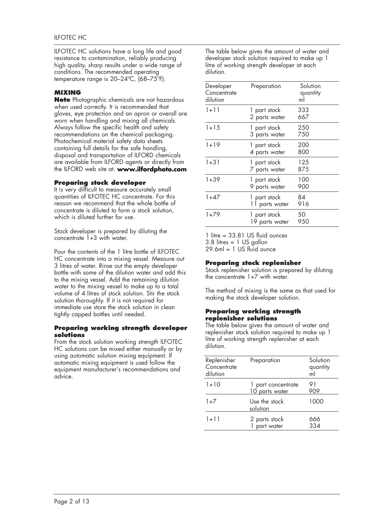ILFOTEC HC solutions have a long life and good resistance to contamination, reliably producing high quality, sharp results under a wide range of conditions. The recommended operating temperature range is 20–24ºC, (68–75ºF).

# **MIXING**

**Note** Photographic chemicals are not hazardous when used correctly. It is recommended that gloves, eye protection and an apron or overall are worn when handling and mixing all chemicals. Always follow the specific health and safety recommendations on the chemical packaging. Photochemical material safety data sheets containing full details for the safe handling, disposal and transportation of ILFORD chemicals are available from ILFORD agents or directly from the ILFORD web site at. **www.ilfordphoto.com**

#### **Preparing stock developer**

It is very difficult to measure accurately small quantities of ILFOTEC HC concentrate. For this reason we recommend that the whole bottle of concentrate is diluted to form a stock solution, which is diluted further for use.

Stock developer is prepared by diluting the concentrate 1+3 with water.

Pour the contents of the 1 litre bottle of ILFOTEC HC concentrate into a mixing vessel. Measure out 3 litres of water. Rinse out the empty developer bottle with some of the dilution water and add this to the mixing vessel. Add the remaining dilution water to the mixing vessel to make up to a total volume of 4 litres of stock solution. Stir the stock solution thoroughly. If it is not required for immediate use store the stock solution in clean tightly capped bottles until needed.

#### **Preparing working strength developer solutions**

From the stock solution working strength ILFOTEC HC solutions can be mixed either manually or by using automatic solution mixing equipment. If automatic mixing equipment is used follow the equipment manufacturer's recommendations and advice.

The table below gives the amount of water and developer stock solution required to make up 1 litre of working strength developer at each dilution.

| Developer<br>Concentrate<br>dilution | Preparation                    | Solution<br>quantity<br>ml |
|--------------------------------------|--------------------------------|----------------------------|
| $1 + 11$                             | 1 part stock<br>2 parts water  | 333<br>667                 |
| $1 + 15$                             | 1 part stock<br>3 parts water  | 250<br>750                 |
| $1 + 19$                             | 1 part stock<br>4 parts water  | 200<br>800                 |
| $1 + 31$                             | 1 part stock<br>7 parts water  | 125<br>875                 |
| $1+39$                               | 1 part stock<br>9 parts water  | 100<br>900                 |
| $1+47$                               | 1 part stock<br>11 parts water | 84<br>916                  |
| $1+79$                               | 1 part stock<br>19 parts water | 50<br>950                  |

1 litre = 33.81 US fluid ounces 3.8 litres = 1 US gallon  $29.6ml = 1 US fluid ounce$ 

### **Preparing stock replenisher**

Stock replenisher solution is prepared by diluting the concentrate 1+7 with water.

The method of mixing is the same as that used for making the stock developer solution.

#### **Preparing working strength replenisher solutions**

The table below gives the amount of water and replenisher stock solution required to make up 1 litre of working strength replenisher at each dilution.

| Replenisher<br>Concentrate<br>dilution | Preparation                                 | Solution<br>quantity<br>ml |
|----------------------------------------|---------------------------------------------|----------------------------|
| $1 + 10$                               | 1 part concentrate<br><u>10 parts water</u> | 91<br>909                  |
| $1+7$                                  | Use the stock<br>solution                   | 1000                       |
| $1 + 11$                               | 2 parts stock<br>part water                 | 666<br>334                 |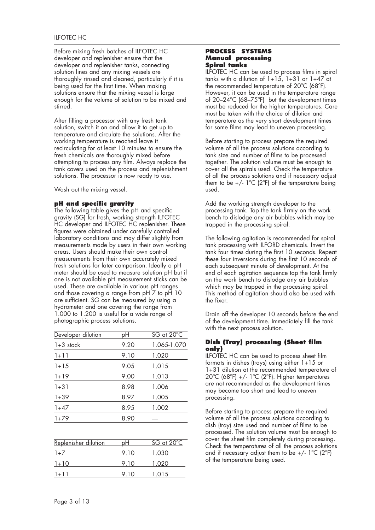Before mixing fresh batches of ILFOTEC HC developer and replenisher ensure that the developer and replenisher tanks, connecting solution lines and any mixing vessels are thoroughly rinsed and cleaned, particularly if it is being used for the first time. When making solutions ensure that the mixing vessel is large enough for the volume of solution to be mixed and stirred.

After filling a processor with any fresh tank solution, switch it on and allow it to get up to temperature and circulate the solutions. After the working temperature is reached leave it recirculating for at least 10 minutes to ensure the fresh chemicals are thoroughly mixed before attempting to process any film. Always replace the tank covers used on the process and replenishment solutions. The processor is now ready to use.

Wash out the mixing vessel.

### **pH and specific gravity**

The following table gives the pH and specific gravity (SG) for fresh, working strength ILFOTEC HC developer and ILFOTEC HC replenisher. These figures were obtained under carefully controlled laboratory conditions and may differ slightly from measurements made by users in their own working areas. Users should make their own control measurements from their own accurately mixed fresh solutions for later comparison. Ideally a pH meter should be used to measure solution pH but if one is not available pH measurement sticks can be used. These are available in various pH ranges and those covering a range from pH 7 to pH 10 are sufficient. SG can be measured by using a hydrometer and one covering the range from 1.000 to 1.200 is useful for a wide range of photographic process solutions.

| Developer dilution | pН   | SG at 20°C  |
|--------------------|------|-------------|
| $1+3$ stock        | 9.20 | 1.065-1.070 |
| $1 + 11$           | 9.10 | 1.020       |
| $1 + 15$           | 9.05 | 1.015       |
| $1 + 19$           | 9.00 | 1.013       |
| $1 + 31$           | 8.98 | 1.006       |
| $1+39$             | 8.97 | 1.005       |
| $1+47$             | 8.95 | 1.002       |
| $1+79$             | 8.90 |             |
|                    |      |             |

| Replenisher dilution | рH    | SG at $20^{\circ}$ C |
|----------------------|-------|----------------------|
| $1+7$                | 9 1 0 | 1.030                |
| $1 + 10$             | 9.10  | 1.020                |
| $1+11$               | 9 1 0 | 1.015                |

#### **PROCESS SYSTEMS Manual processing Spiral tanks**

ILFOTEC HC can be used to process films in spiral tanks with a dilution of  $1+15$ ,  $1+31$  or  $1+47$  at the recommended temperature of 20ºC (68ºF). However, it can be used in the temperature range of 20–24ºC (68–75ºF) but the development times must be reduced for the higher temperatures. Care must be taken with the choice of dilution and temperature as the very short development times for some films may lead to uneven processing.

Before starting to process prepare the required volume of all the process solutions according to tank size and number of films to be processed together. The solution volume must be enough to cover all the spirals used. Check the temperature of all the process solutions and if necessary adjust them to be  $+/- 1^{\circ}C$  (2°F) of the temperature being used.

Add the working strength developer to the processing tank. Tap the tank firmly on the work bench to dislodge any air bubbles which may be trapped in the processing spiral.

The following agitation is recommended for spiral tank processing with ILFORD chemicals. Invert the tank four times during the first 10 seconds. Repeat these four inversions during the first 10 seconds of each subsequent minute of development. At the end of each agitation sequence tap the tank firmly on the work bench to dislodge any air bubbles which may be trapped in the processing spiral. This method of agitation should also be used with the fixer.

Drain off the developer 10 seconds before the end of the development time. Immediately fill the tank with the next process solution.

### **Dish (Tray) processing (Sheet film only)**

ILFOTEC HC can be used to process sheet film formats in dishes (trays) using either 1+15 or 1+31 dilution at the recommended temperature of 20ºC (68ºF) +/- 1ºC (2ºF). Higher temperatures are not recommended as the development times may become too short and lead to uneven processing.

Before starting to process prepare the required volume of all the process solutions according to dish (tray) size used and number of films to be processed. The solution volume must be enough to cover the sheet film completely during processing. Check the temperatures of all the process solutions and if necessary adjust them to be  $+/- 1^{\circ}C$  (2°F) of the temperature being used.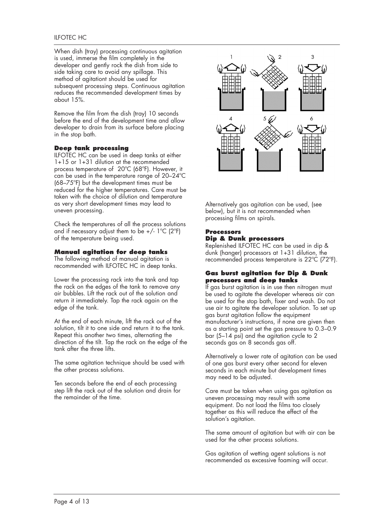When dish (tray) processing continuous agitation is used, immerse the film completely in the developer and gently rock the dish from side to side taking care to avoid any spillage. This method of agitationt should be used for subsequent processing steps. Continuous agitation reduces the recommended development times by about 15%.

Remove the film from the dish (tray) 10 seconds before the end of the development time and allow developer to drain from its surface before placing in the stop bath.

### **Deep tank processing**

ILFOTEC HC can be used in deep tanks at either 1+15 or 1+31 dilution at the recommended process temperature of 20ºC (68ºF). However, it can be used in the temperature range of 20–24ºC (68–75ºF) but the development times must be reduced for the higher temperatures. Care must be taken with the choice of dilution and temperature as very short development times may lead to uneven processing.

Check the temperatures of all the process solutions and if necessary adjust them to be  $+/- 1$ <sup>o</sup>C (2<sup>o</sup>F) of the temperature being used.

### **Manual agitation for deep tanks**

The following method of manual agitation is recommended with ILFOTEC HC in deep tanks.

Lower the processing rack into the tank and tap the rack on the edges of the tank to remove any air bubbles. Lift the rack out of the solution and return it immediately. Tap the rack again on the edge of the tank.

At the end of each minute, lift the rack out of the solution, tilt it to one side and return it to the tank. Repeat this another two times, alternating the direction of the tilt. Tap the rack on the edge of the tank after the three lifts.

The same agitation technique should be used with the other process solutions.

Ten seconds before the end of each processing step lift the rack out of the solution and drain for the remainder of the time.



Alternatively gas agitation can be used, (see below), but it is not recommended when processing films on spirals.

# **Processors Dip & Dunk processors**

Replenished ILFOTEC HC can be used in dip & dunk (hanger) processors at 1+31 dilution, the recommended process temperature is 22ºC (72ºF).

#### **Gas burst agitation for Dip & Dunk processors and deep tanks**

If gas burst agitation is in use then nitrogen must be used to agitate the developer whereas air can be used for the stop bath, fixer and wash. Do not use air to agitate the developer solution. To set up gas burst agitation follow the equipment manufacturer's instructions, if none are given then as a starting point set the gas pressure to 0.3–0.9 bar (5–14 psi) and the agitation cycle to 2 seconds gas on 8 seconds gas off.

Alternatively a lower rate of agitation can be used of one gas burst every other second for eleven seconds in each minute but development times may need to be adjusted.

Care must be taken when using gas agitation as uneven processing may result with some equipment. Do not load the films too closely together as this will reduce the effect of the solution's agitation.

The same amount of agitation but with air can be used for the other process solutions.

Gas agitation of wetting agent solutions is not recommended as excessive foaming will occur.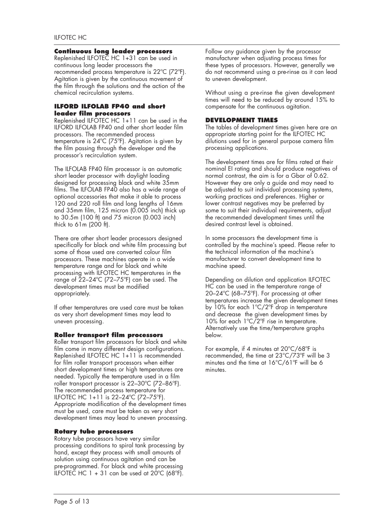#### **Continuous long leader processors**

Replenished ILFOTEC HC 1+31 can be used in continuous long leader processors the recommended process temperature is 22ºC (72ºF). Agitation is given by the continuous movement of the film through the solutions and the action of the chemical recirculation systems.

# **ILFORD ILFOLAB FP40 and short leader film processors**

Replenished ILFOTEC HC 1+11 can be used in the ILFORD ILFOLAB FP40 and other short leader film processors. The recommended process temperature is 24ºC (75ºF). Agitation is given by the film passing through the developer and the processor's recirculation system.

The ILFOLAB FP40 film processor is an automatic short leader processor with daylight loading designed for processing black and white 35mm films. The ILFOLAB FP40 also has a wide range of optional accessories that make it able to process 120 and 220 roll film and long lengths of 16mm and 35mm film, 125 micron (0.005 inch) thick up to 30.5m (100 ft) and 75 micron (0.003 inch) thick to 61m (200 ft).

There are other short leader processors designed specifically for black and white film processing but some of those used are converted colour film processors. These machines operate in a wide temperature range and for black and white processing with ILFOTEC HC temperatures in the range of 22–24ºC (72–75ºF) can be used. The development times must be modified appropriately.

If other temperatures are used care must be taken as very short development times may lead to uneven processing.

### **Roller transport film processors**

short development times or high temperatures are needed. Typically the temperature used in a film roller transport processor is 22–30ºC (72–86ºF). The recommended process temperature for ILFOTEC HC 1+11 is 22–24ºC (72–75ºF). Roller transport film processors for black and white film come in many different design configurations. Replenished ILFOTEC HC 1+11 is recommended for film roller transport processors when either Appropriate modification of the development times must be used, care must be taken as very short development times may lead to uneven processing.

### **Rotary tube processors**

Rotary tube processors have very similar processing conditions to spiral tank processing by hand, except they process with small amounts of solution using continuous agitation and can be pre-programmed. For black and white processing ILFOTEC HC 1 + 31 can be used at  $20^{\circ}$ C (68 $^{\circ}$ F).

Follow any guidance given by the processor manufacturer when adjusting process times for these types of processors. However, generally we do not recommend using a pre-rinse as it can lead to uneven development.

Without using a pre-rinse the given development times will need to be reduced by around 15% to compensate for the continuous agitation.

# **DEVELOPMENT TIMES**

The tables of development times given here are an appropriate starting point for the ILFOTEC HC dilutions used for in general purpose camera film processing applications.

The development times are for films rated at their nominal EI rating and should produce negatives of normal contrast, the aim is for a Gbar of 0.62. However they are only a guide and may need to be adjusted to suit individual processing systems, working practices and preferences. Higher or lower contrast negatives may be preferred by some to suit their individual requirements, adjust the recommended development times until the desired contrast level is obtained.

In some processors the development time is controlled by the machine's speed. Please refer to the technical information of the machine's manufacturer to convert development time to machine speed.

Depending on dilution and application ILFOTEC HC can be used in the temperature range of 20–24ºC (68–75ºF). For processing at other temperatures increase the given development times by 10% for each 1ºC/2ºF drop in temperature and decrease the given development times by 10% for each 1ºC/2ºF rise in temperature. Alternatively use the time/temperature graphs below.

For example, if 4 minutes at 20°C/68ºF is recommended, the time at 23°C/73ºF will be 3 minutes and the time at 16°C/61ºF will be 6 minutes.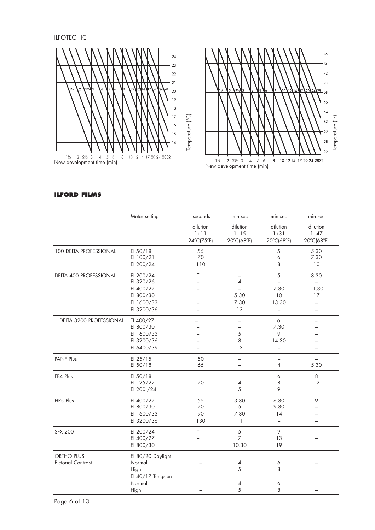ILFOTEC HC



# **ILFORD FILMS**

|                                         | Meter setting                                                                | seconds                                                    | min:sec                                             | min:sec                                                          | min:sec                                                |
|-----------------------------------------|------------------------------------------------------------------------------|------------------------------------------------------------|-----------------------------------------------------|------------------------------------------------------------------|--------------------------------------------------------|
|                                         |                                                                              | dilution<br>$1 + 11$<br>24°C(75°F)                         | dilution<br>$1 + 15$<br>20°C(68°F)                  | dilution<br>$1 + 31$<br>20°C(68°F)                               | dilution<br>$1+47$<br>20°C(68°F)                       |
| 100 DELTA PROFESSIONAL                  | EI 50/18<br>EI 100/21<br>EI 200/24                                           | 55<br>70<br>110                                            | $\overline{\phantom{0}}$                            | 5<br>6<br>8                                                      | 5.30<br>7.30<br>10                                     |
| DELTA 400 PROFESSIONAL                  | EI 200/24<br>EI 320/26<br>EI 400/27<br>EI 800/30<br>EI 1600/33<br>EI 3200/36 | $\overline{\phantom{a}}$                                   | $\overline{\phantom{a}}$<br>4<br>5.30<br>7.30<br>13 | 5<br>$\equiv$<br>7.30<br>10<br>13.30<br>$\overline{\phantom{0}}$ | 8.30<br>$\overline{\phantom{0}}$<br>11.30<br>17<br>$=$ |
| DELTA 3200 PROFESSIONAL                 | EI 400/27<br>EI 800/30<br>EI 1600/33<br>EI 3200/36<br>EI 6400/39             |                                                            | 5<br>8<br>13                                        | $\boldsymbol{6}$<br>7.30<br>9<br>14.30<br>$\equiv$               |                                                        |
| PANF Plus                               | EI 25/15<br>EI 50/18                                                         | 50<br>65                                                   |                                                     | $\overline{4}$                                                   | 5.30                                                   |
| FP4 Plus                                | EI 50/18<br>EI 125/22<br>EI 200 / 24                                         | $\overline{\phantom{0}}$<br>70<br>$\overline{\phantom{0}}$ | 4<br>5                                              | 6<br>8<br>9                                                      | 8<br>12<br>$\overline{\phantom{0}}$                    |
| HP5 Plus                                | EI 400/27<br>EI 800/30<br>EI 1600/33<br>EI 3200/36                           | 55<br>70<br>90<br>130                                      | 3.30<br>5<br>7.30<br>11                             | 6.30<br>9.30<br>14<br>$\overline{\phantom{0}}$                   | 9<br>$\overline{\phantom{0}}$<br>L.                    |
| <b>SFX 200</b>                          | EI 200/24<br>EI 400/27<br>EI 800/30                                          | $\overline{\phantom{a}}$<br>$\equiv$                       | 5<br>$\overline{7}$<br>10.30                        | 9<br>13<br>19                                                    | 11<br>$\overline{\phantom{0}}$                         |
| ORTHO PLUS<br><b>Pictorial Contrast</b> | El 80/20 Daylight<br>Normal<br>High<br>El 40/17 Tungsten                     |                                                            | 4<br>5                                              | 6<br>8                                                           |                                                        |
|                                         | Normal<br>High                                                               |                                                            | 4<br>5                                              | 6<br>8                                                           |                                                        |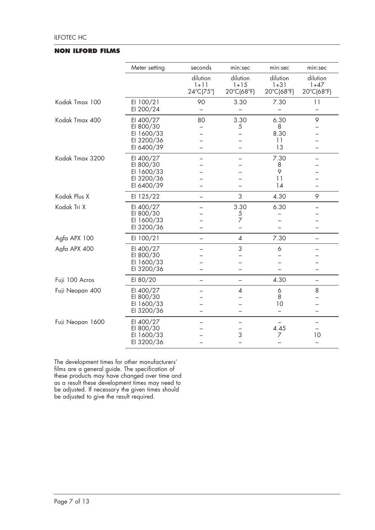#### **NON ILFORD FILMS**

|                  | Meter setting                                                    | seconds                           | min:sec                            | min:sec                            | min:sec                          |
|------------------|------------------------------------------------------------------|-----------------------------------|------------------------------------|------------------------------------|----------------------------------|
|                  |                                                                  | dilution<br>$1 + 11$<br>24°C(75°) | dilution<br>$1 + 15$<br>20°C(68°F) | dilution<br>$1 + 31$<br>20°C(68°F) | dilution<br>$1+47$<br>20°C(68°F) |
| Kodak Tmax 100   | EI 100/21<br>EI 200/24                                           | 90                                | 3.30                               | 7.30                               | 11                               |
| Kodak Tmax 400   | EI 400/27<br>EI 800/30<br>EI 1600/33<br>EI 3200/36<br>EI 6400/39 | 80                                | 3.30<br>5                          | 6.30<br>8<br>8.30<br>11<br>13      | 9                                |
| Kodak Tmax 3200  | EI 400/27<br>EI 800/30<br>EI 1600/33<br>EI 3200/36<br>EI 6400/39 |                                   |                                    | 7.30<br>8<br>9<br>11<br>14         |                                  |
| Kodak Plus X     | EI 125/22                                                        | $\overline{\phantom{0}}$          | 3                                  | 4.30                               | 9                                |
| Kodak Tri X      | EI 400/27<br>EI 800/30<br>EI 1600/33<br>EI 3200/36               |                                   | 3.30<br>5<br>7                     | 6.30                               |                                  |
| Agfa APX 100     | EI 100/21                                                        | $\overline{\phantom{0}}$          | 4                                  | 7.30                               | —                                |
| Agfa APX 400     | EI 400/27<br>EI 800/30<br>EI 1600/33<br>EI 3200/36               |                                   | 3<br>$\overline{\phantom{0}}$      | 6<br>$\equiv$                      | —                                |
| Fuji 100 Acros   | EI 80/20                                                         |                                   |                                    | 4.30                               | $\overline{\phantom{0}}$         |
| Fuji Neopan 400  | EI 400/27<br>EI 800/30<br>EI 1600/33<br>EI 3200/36               |                                   | 4                                  | 6<br>8<br>10                       | 8<br>—                           |
| Fuji Neopan 1600 | EI 400/27<br>EI 800/30<br>EI 1600/33<br>EI 3200/36               |                                   | 3                                  | 4.45<br>7                          | 10<br>$\overline{\phantom{0}}$   |

The development times for other manufacturers' films are a general guide. The specification of these products may have changed over time and as a result these development times may need to be adjusted. If necessary the given times should be adjusted to give the result required.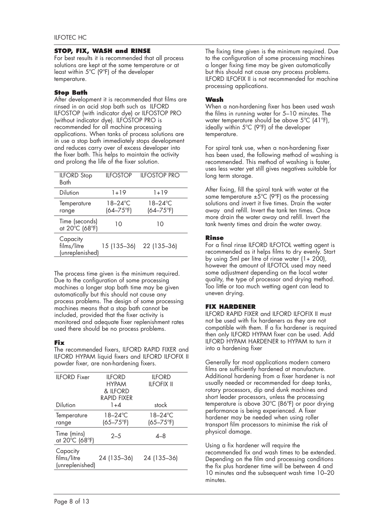#### **STOP, FIX, WASH and RINSE**

For best results it is recommended that all process solutions are kept at the same temperature or at least within 5ºC (9ºF) of the developer temperature.

# **Stop Bath**

After development it is recommended that films are rinsed in an acid stop bath such as ILFORD ILFOSTOP (with indicator dye) or ILFOSTOP PRO (without indicator dye). ILFOSTOP PRO is recommended for all machine processing applications. When tanks of process solutions are in use a stop bath immediately stops development and reduces carry over of excess developer into the fixer bath. This helps to maintain the activity and prolong the life of the fixer solution.

| <b>ILFORD</b> Stop<br>Bath                 | <b>ILFOSTOP</b>                 | <b>ILFOSTOP PRO</b>             |
|--------------------------------------------|---------------------------------|---------------------------------|
| Dilution                                   | 1+19                            | $1 + 19$                        |
| Temperature<br>range                       | $18 - 24$ °C<br>$(64 - 75)$ °F) | $18 - 24$ °C<br>$(64 - 75)$ °F) |
| Time (seconds)<br>at 20°C (68°F)           | 10                              | 10                              |
| Capacity<br>films/litre<br>(unreplenished) | 15 (135–36)                     | 22 (135-36)                     |

The process time given is the minimum required. Due to the configuration of some processing machines a longer stop bath time may be given automatically but this should not cause any process problems. The design of some processing machines means that a stop bath cannot be included, provided that the fixer activity is monitored and adequate fixer replenishment rates used there should be no process problems.

# **Fix**

The recommended fixers, ILFORD RAPID FIXER and ILFORD HYPAM liquid fixers and ILFORD ILFOFIX II powder fixer, are non-hardening fixers.

| <b>ILFORD Fixer</b>                        | <b>IIFORD</b><br><b>HYPAM</b>  | <b>ILFORD</b><br><b>IIFOFIX II</b> |
|--------------------------------------------|--------------------------------|------------------------------------|
|                                            | & IIFORD<br><b>RAPID FIXFR</b> |                                    |
|                                            |                                |                                    |
| Dilution                                   | $1 + 4$                        | stock                              |
| Temperature                                | 18–24°C                        | $18 - 24$ °C                       |
| range                                      | $(65 - 75^{\circ}F)$           | $(65 - 75^{\circ}F)$               |
| Time (mins)<br>at 20°C (68°F)              | $2 - 5$                        | $A - 8$                            |
| Capacity<br>films/litre<br>(unreplenished) | 24 (135-36)                    | 24 (135-36)                        |
|                                            |                                |                                    |

The fixing time given is the minimum required. Due to the configuration of some processing machines a longer fixing time may be given automatically but this should not cause any process problems. ILFORD ILFOFIX II is not recommended for machine processing applications.

# **Wash**

When a non-hardening fixer has been used wash the films in running water for 5–10 minutes. The water temperature should be above 5ºC (41ºF), ideally within 5ºC (9ºF) of the developer temperature.

For spiral tank use, when a non-hardening fixer has been used, the following method of washing is recommended. This method of washing is faster, uses less water yet still gives negatives suitable for long term storage.

After fixing, fill the spiral tank with water at the same temperature  $\pm 5^{\circ}$ C (9°F) as the processing solutions and invert it five times. Drain the water away and refill. Invert the tank ten times. Once more drain the water away and refill. Invert the tank twenty times and drain the water away.

# **Rinse**

For a final rinse ILFORD ILFOTOL wetting agent is recommended as it helps films to dry evenly. Start by using 5ml per litre of rinse water  $(1+ 200)$ , however the amount of ILFOTOL used may need some adjustment depending on the local water quality, the type of processor and drying method. Too little or too much wetting agent can lead to uneven drying.

# **FIX HARDENER**

ILFORD RAPID FIXER and ILFORD ILFOFIX II must not be used with fix hardeners as they are not compatible with them. If a fix hardener is required then only ILFORD HYPAM fixer can be used. Add ILFORD HYPAM HARDENER to HYPAM to turn it into a hardening fixer

Generally for most applications modern camera films are sufficiently hardened at manufacture. Additional hardening from a fixer hardener is not usually needed or recommended for deep tanks, rotary processors, dip and dunk machines and short leader processors, unless the processing temperature is above 30ºC (86ºF) or poor drying performance is being experienced. A fixer hardener may be needed when using roller transport film processors to minimise the risk of physical damage.

Using a fix hardener will require the recommended fix and wash times to be extended. Depending on the film and processing conditions the fix plus hardener time will be between 4 and 10 minutes and the subsequent wash time 10–20 minutes.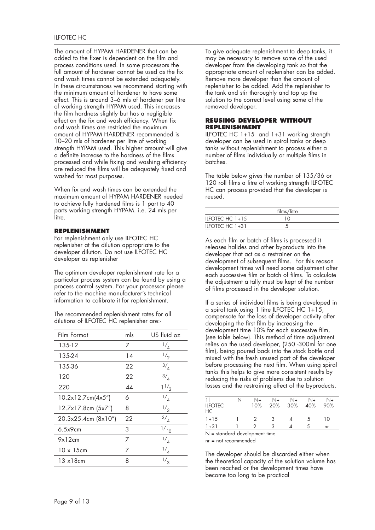The amount of HYPAM HARDENER that can be added to the fixer is dependent on the film and process conditions used. In some processors the full amount of hardener cannot be used as the fix and wash times cannot be extended adequately. In these circumstances we recommend starting with the minimum amount of hardener to have some effect. This is around 3–6 mls of hardener per litre of working strength HYPAM used. This increases the film hardness slightly but has a negligible effect on the fix and wash efficiency. When fix and wash times are restricted the maximum amount of HYPAM HARDENER recommended is 10–20 mls of hardener per litre of working strength HYPAM used. This higher amount will give a definite increase to the hardness of the films processed and while fixing and washing efficiency are reduced the films will be adequately fixed and washed for most purposes.

When fix and wash times can be extended the maximum amount of HYPAM HARDENER needed to achieve fully hardened films is 1 part to 40 parts working strength HYPAM. i.e. 24 mls per litre.

# **REPLENISHMENT**

For replenishment only use ILFOTEC HC replenisher at the dilution appropriate to the developer dilution. Do not use ILFOTEC HC developer as replenisher

The optimum developer replenishment rate for a particular process system can be found by using a process control system. For your processor please refer to the machine manufacturer's technical information to calibrate it for replenishment.

The recommended replenishment rates for all dilutions of ILFOTEC HC replenisher are:-

| Film Format          | mls | US fluid oz    | development time 10% for each successive film<br>(see table below). This method of time adjustme<br>relies on the used developer, (250 -300ml for c |   |         |      |         |         |    |
|----------------------|-----|----------------|-----------------------------------------------------------------------------------------------------------------------------------------------------|---|---------|------|---------|---------|----|
| 135-12               | 7   | $^{1/4}$       |                                                                                                                                                     |   |         |      |         |         |    |
| 135-24               | 14  | $\frac{1}{2}$  | film), being poured back into the stock bottle are<br>mixed with the fresh unused part of the develop                                               |   |         |      |         |         |    |
| 135-36               | 22  | $\frac{3}{4}$  | before processing the next film. When using sp                                                                                                      |   |         |      |         |         |    |
| 120                  | 22  | $\frac{3}{4}$  | tanks this helps to give more consistent results b<br>reducing the risks of problems due to solution                                                |   |         |      |         |         |    |
| 220                  | 44  | 11/2           | losses and the restraining effect of the byprodue                                                                                                   |   |         |      |         |         |    |
| 10.2x12.7cm(4x5")    | 6   | $\frac{1}{4}$  | $\frac{1}{2}$                                                                                                                                       | N | $N_{+}$ | $N+$ | $N_{+}$ | $N_{+}$ | N  |
| $12.7x17.8cm$ (5x7") | 8   | $\frac{1}{3}$  | <b>ILFOTEC</b><br>HС                                                                                                                                |   | 10%     | 20%  | 30%     | 40%     | 90 |
| 20.3x25.4cm (8x10")  | 22  | $\frac{3}{4}$  | $1 + 15$                                                                                                                                            |   | 2       | 3    | 4       | 5       | 10 |
| 6.5x9cm              | 3   | $\frac{1}{10}$ | $1 + 31$                                                                                                                                            |   | 2       | 3    | 4       | 5       | nr |
| 9x12cm               | 7   | $\frac{1}{4}$  | $N =$ standard development time<br>$nr = not recommended$                                                                                           |   |         |      |         |         |    |
| $10 \times 15$ cm    | 7   | $\frac{1}{4}$  | The developer should be discarded either when                                                                                                       |   |         |      |         |         |    |
| $13 \times 18$ cm    | 8   | $\frac{1}{3}$  | the theoretical capacity of the solution volume h                                                                                                   |   |         |      |         |         |    |
|                      |     |                |                                                                                                                                                     |   |         |      |         |         |    |

To give adequate replenishment to deep tanks, it may be necessary to remove some of the used developer from the developing tank so that the appropriate amount of replenisher can be added. Remove more developer than the amount of replenisher to be added. Add the replenisher to the tank and stir thoroughly and top up the solution to the correct level using some of the removed developer.

#### **REUSING DEVELOPER WITHOUT REPLENISHMENT**

ILFOTEC HC 1+15 and 1+31 working strength developer can be used in spiral tanks or deep tanks without replenishment to process either a number of films individually or multiple films in batches.

The table below gives the number of 135/36 or 120 roll films a litre of working strength ILFOTEC HC can process provided that the developer is reused.

|                     | films/litre |
|---------------------|-------------|
| ILFOTEC $HC$ $1+15$ |             |
| ILFOTEC $HC$ 1+31   |             |

As each film or batch of films is processed it releases halides and other byproducts into the developer that act as a restrainer on the development of subsequent films. For this reason development times will need some adjustment after each successive film or batch of films. To calculate the adjustment a tally must be kept of the number of films processed in the developer solution.

If a series of individual films is being developed in a spiral tank using 1 litre ILFOTEC  $\text{HC } 1+15$ , compensate for the loss of developer activity after developing the first film by increasing the development time 10% for each successive film, (see table below). This method of time adjustment relies on the used developer, (250 -300ml for one film), being poured back into the stock bottle and mixed with the fresh unused part of the developer before processing the next film. When using spiral tanks this helps to give more consistent results by reducing the risks of problems due to solution losses and the restraining effect of the byproducts.

| 4  |                      | N+       | $N_{+}$ | $N+$ | $N_{+}$ | $N+$ |
|----|----------------------|----------|---------|------|---------|------|
| 3  | <b>ILFOTEC</b><br>НC | 10%      | 20%     | 30%  | 40%     | 90%  |
| 4  | $1 + 15$             |          |         |      |         | 10   |
|    | $1 + 31$             |          |         |      |         | nr   |
| 10 | .                    | $\cdots$ |         |      |         |      |

The developer should be discarded either when the theoretical capacity of the solution volume has been reached or the development times have become too long to be practical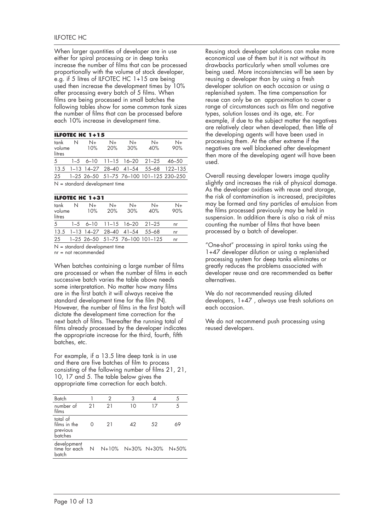When larger quantities of developer are in use either for spiral processing or in deep tanks increase the number of films that can be processed proportionally with the volume of stock developer, e.g. if 5 litres of ILFOTEC HC 1+15 are being used then increase the development times by 10% after processing every batch of 5 films. When films are being processed in small batches the following tables show for some common tank sizes the number of films that can be processed before each 10% increase in development time.

|                                 |   | <b>ILFOTEC HC 1+15</b> |             |             |                                    |                                           |
|---------------------------------|---|------------------------|-------------|-------------|------------------------------------|-------------------------------------------|
| tank<br>volume<br>litres        | N | $N_{+}$<br>10%         | $N+$<br>20% | $N+$<br>30% | $N+$<br>40%                        | $N+$<br>90%                               |
| 5 <sup>7</sup>                  |   |                        |             |             | $1-5$ 6-10 11-15 16-20 21-25 46-50 |                                           |
|                                 |   |                        |             |             |                                    | 13.5 1-13 14-27 28-40 41-54 55-68 122-135 |
| 25                              |   |                        |             |             |                                    | 1-25 26-50 51-75 76-100 101-125 230-250   |
| $N =$ standard development time |   |                        |             |             |                                    |                                           |

| N<br>volume | $N+$<br>10% | $N+$<br>20% | $N+$<br>30%                         | $N+$<br>40% | N+<br>90%                                                                                            |
|-------------|-------------|-------------|-------------------------------------|-------------|------------------------------------------------------------------------------------------------------|
|             |             |             |                                     |             | nr                                                                                                   |
|             |             |             |                                     |             | nr                                                                                                   |
|             |             |             |                                     |             | nr                                                                                                   |
|             |             |             | <b>ILFOTEC HC <math>1+31</math></b> |             | $1-5$ 6-10 11-15 16-20 21-25<br>13.5 1-13 14-27 28-40 41-54 55-68<br>1-25 26-50 51-75 76-100 101-125 |

 $N =$  standard development time

nr = not recommended

When batches containing a large number of films are processed or when the number of films in each successive batch varies the table above needs some interpretation. No matter how many films are in the first batch it will always receive the standard development time for the film (N). However, the number of films in the first batch will dictate the development time correction for the next batch of films. Thereafter the running total of films already processed by the developer indicates the appropriate increase for the third, fourth, fifth batches, etc.

10, 17 and 5. The table below gives the appropriate time correction for each batch. For example, if a 13.5 litre deep tank is in use and there are five batches of film to process consisting of the following number of films 21, 21,

| Batch                                           |    | 2  | 3  |                         | 5  |
|-------------------------------------------------|----|----|----|-------------------------|----|
| number of<br>films                              | 21 | 21 | 10 | 17                      | 5  |
| total of<br>films in the<br>previous<br>batches | ∩  | 21 | 42 | .52                     | 69 |
| development<br>time for each<br>batch           | N  |    |    | N+10% N+30% N+30% N+50% |    |
|                                                 |    |    |    |                         |    |

Reusing stock developer solutions can make more economical use of them but it is not without its drawbacks particularly when small volumes are being used. More inconsistencies will be seen by reusing a developer than by using a fresh developer solution on each occasion or using a replenished system. The time compensation for reuse can only be an approximation to cover a range of circumstances such as film and negative types, solution losses and its age, etc. For example, if due to the subject matter the negatives are relatively clear when developed, then little of the developing agents will have been used in processing them. At the other extreme if the negatives are well blackened after development then more of the developing agent will have been used.

Overall reusing developer lowers image quality slightly and increases the risk of physical damage. As the developer oxidises with reuse and storage, the risk of contamination is increased, precipitates may be formed and tiny particles of emulsion from the films processed previously may be held in suspension. In addition there is also a risk of miss counting the number of films that have been processed by a batch of developer.

"One-shot" processing in spiral tanks using the 1+47 developer dilution or using a replenished processing system for deep tanks eliminates or greatly reduces the problems associated with developer reuse and are recommended as better alternatives.

We do not recommended reusing diluted developers, 1+47 , always use fresh solutions on each occasion.

We do not recommend push processing using reused developers.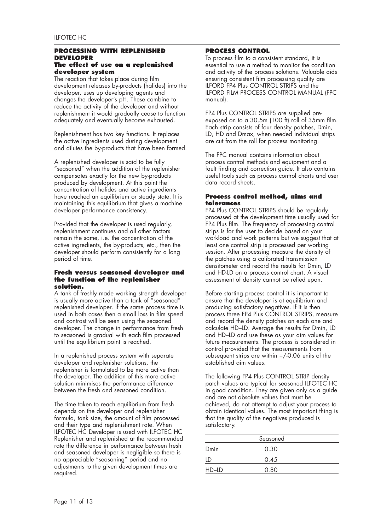#### **PROCESSING WITH REPLENISHED DEVELOPER The effect of use on a replenished developer system**

The reaction that takes place during film development releases by-products (halides) into the developer, uses up developing agents and changes the developer's pH. These combine to reduce the activity of the developer and without replenishment it would gradually cease to function adequately and eventually become exhausted.

Replenishment has two key functions. It replaces the active ingredients used during development and dilutes the by-products that have been formed.

A replenished developer is said to be fully "seasoned" when the addition of the replenisher compensates exactly for the new by-products produced by development. At this point the concentration of halides and active ingredients have reached an equilibrium or steady state. It is maintaining this equilibrium that gives a machine developer performance consistency.

Provided that the developer is used regularly, replenishment continues and all other factors remain the same, i.e. the concentration of the active ingredients, the by-products, etc., then the developer should perform consistently for a long period of time.

#### **Fresh versus seasoned developer and the function of the replenisher solution.**

A tank of freshly made working strength developer is usually more active than a tank of "seasoned" replenished developer. If the same process time is used in both cases then a small loss in film speed and contrast will be seen using the seasoned developer. The change in performance from fresh to seasoned is gradual with each film processed until the equilibrium point is reached.

In a replenished process system with separate developer and replenisher solutions, the replenisher is formulated to be more active than the developer. The addition of this more active solution minimises the performance difference between the fresh and seasoned condition.

The time taken to reach equilibrium from fresh depends on the developer and replenisher formula, tank size, the amount of film processed and their type and replenishment rate. When ILFOTEC HC Developer is used with ILFOTEC HC Replenisher and replenished at the recommended rate the difference in performance between fresh and seasoned developer is negligible so there is no appreciable "seasoning" period and no adjustments to the given development times are required.

### **PROCESS CONTROL**

To process film to a consistent standard, it is essential to use a method to monitor the condition and activity of the process solutions. Valuable aids ensuring consistent film processing quality are ILFORD FP4 Plus CONTROL STRIPS and the ILFORD FILM PROCESS CONTROL MANUAL (FPC manual).

FP4 Plus CONTROL STRIPS are supplied preexposed on to a 30.5m (100 ft) roll of 35mm film. Each strip consists of four density patches, Dmin, LD, HD and Dmax, when needed individual strips are cut from the roll for process monitoring.

The FPC manual contains information about process control methods and equipment and a fault finding and correction guide. It also contains useful tools such as process control charts and user data record sheets.

#### **Process control method, aims and tolerances**

FP4 Plus CONTROL STRIPS should be regularly processed at the development time usually used for FP4 Plus film. The frequency of processing control strips is for the user to decide based on your workload and work patterns but we suggest that at least one control strip is processed per working session. After processing measure the density of the patches using a calibrated transmission densitometer and record the results for Dmin, LD and HD-LD on a process control chart. A visual assessment of density cannot be relied upon.

Before starting process control it is important to ensure that the developer is at equilibrium and producing satisfactory negatives. If it is then process three FP4 Plus CONTROL STRIPS, measure and record the density patches on each one and calculate HD–LD. Average the results for Dmin, LD and HD–LD and use these as your aim values for future measurements. The process is considered in control provided that the measurements from subsequent strips are within +/-0.06 units of the established aim values.

The following FP4 Plus CONTROL STRIP density patch values are typical for seasoned ILFOTEC HC in good condition. They are given only as a guide and are not absolute values that must be achieved, do not attempt to adjust your process to obtain identical values. The most important thing is that the quality of the negatives produced is satisfactory.

|       | Seasoned |  |
|-------|----------|--|
| Dmin  | 0.30     |  |
| LD    | 0.45     |  |
| HD-LD | 0.80     |  |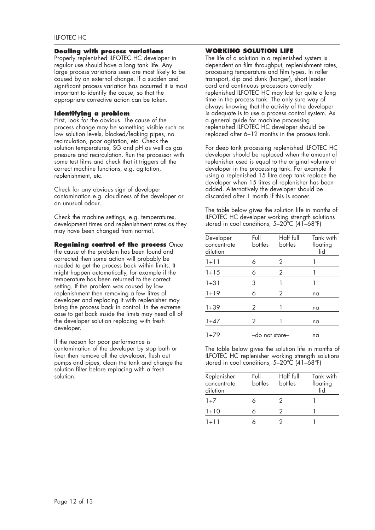#### **Dealing with process variations**

Properly replenished ILFOTEC HC developer in regular use should have a long tank life. Any large process variations seen are most likely to be caused by an external change. If a sudden and significant process variation has occurred it is most important to identify the cause, so that the appropriate corrective action can be taken.

#### **Identifying a problem**

First, look for the obvious. The cause of the process change may be something visible such as low solution levels, blocked/leaking pipes, no recirculation, poor agitation, etc. Check the solution temperatures, SG and pH as well as gas pressure and recirculation. Run the processor with some test films and check that it triggers all the correct machine functions, e.g. agitation, replenishment, etc.

Check for any obvious sign of developer contamination e.g. cloudiness of the developer or an unusual odour.

Check the machine settings, e.g. temperatures, development times and replenishment rates as they may have been changed from normal.

#### **Regaining control of the process** Once

the cause of the problem has been found and corrected then some action will probably be needed to get the process back within limits. It might happen automatically, for example if the temperature has been returned to the correct setting. If the problem was caused by low replenishment then removing a few litres of developer and replacing it with replenisher may bring the process back in control. In the extreme case to get back inside the limits may need all of the developer solution replacing with fresh developer.

If the reason for poor performance is contamination of the developer by stop bath or fixer then remove all the developer, flush out pumps and pipes, clean the tank and change the solution filter before replacing with a fresh solution.

#### **WORKING SOLUTION LIFE**

The life of a solution in a replenished system is dependent on film throughput, replenishment rates, processing temperature and film types. In roller transport, dip and dunk (hanger), short leader card and continuous processors correctly replenished ILFOTEC HC may last for quite a long time in the process tank. The only sure way of always knowing that the activity of the developer is adequate is to use a process control system. As a general guide for machine processing replenished ILFOTEC HC developer should be replaced after 6–12 months in the process tank.

For deep tank processing replenished ILFOTEC HC developer should be replaced when the amount of replenisher used is equal to the original volume of developer in the processing tank. For example if using a replenished 15 litre deep tank replace the developer when 15 litres of replenisher has been added. Alternatively the developer should be discarded after 1 month if this is sooner.

The table below gives the solution life in months of ILFOTEC HC developer working strength solutions stored in cool conditions, 5–20ºC (41–68ºF)

| Developer<br>concentrate<br>dilution | Full<br>bottles | Half full<br>bottles | Tank with<br>floating<br>lid |
|--------------------------------------|-----------------|----------------------|------------------------------|
| $1 + 11$                             | 6               | 2                    |                              |
| $1 + 15$                             | 6               | $\overline{2}$       |                              |
| $1 + 31$                             | 3               |                      |                              |
| $1 + 19$                             | 6               | 2                    | na                           |
| $1 + 39$                             | 2               |                      | na                           |
| 1+47                                 | $\mathcal{P}$   |                      | na                           |
| 1+79                                 | -do not store-  |                      | na                           |

The table below gives the solution life in months of ILFOTEC HC replenisher working strength solutions stored in cool conditions, 5-20°C (41-68°F)

| Replenisher<br>concentrate<br>dilution | Full<br>hottles | Half full<br>bottles | Tank with<br>floating<br>lid |
|----------------------------------------|-----------------|----------------------|------------------------------|
| $1+7$                                  |                 | 2                    |                              |
| $1 + 10$                               |                 | 2                    |                              |
| $1 + 11$                               |                 |                      |                              |